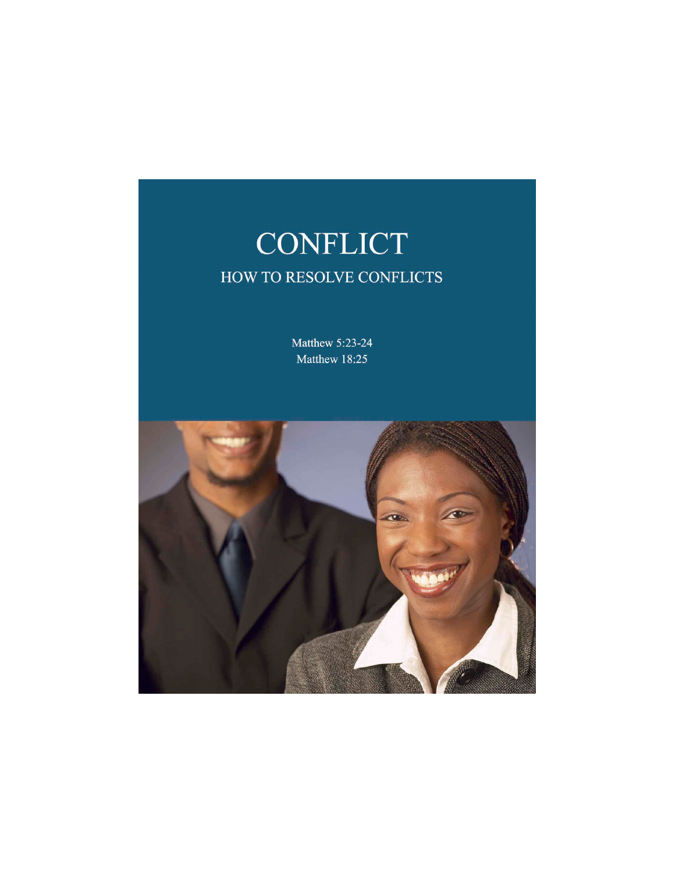

Matthew 5:23-24 Matthew 18:25

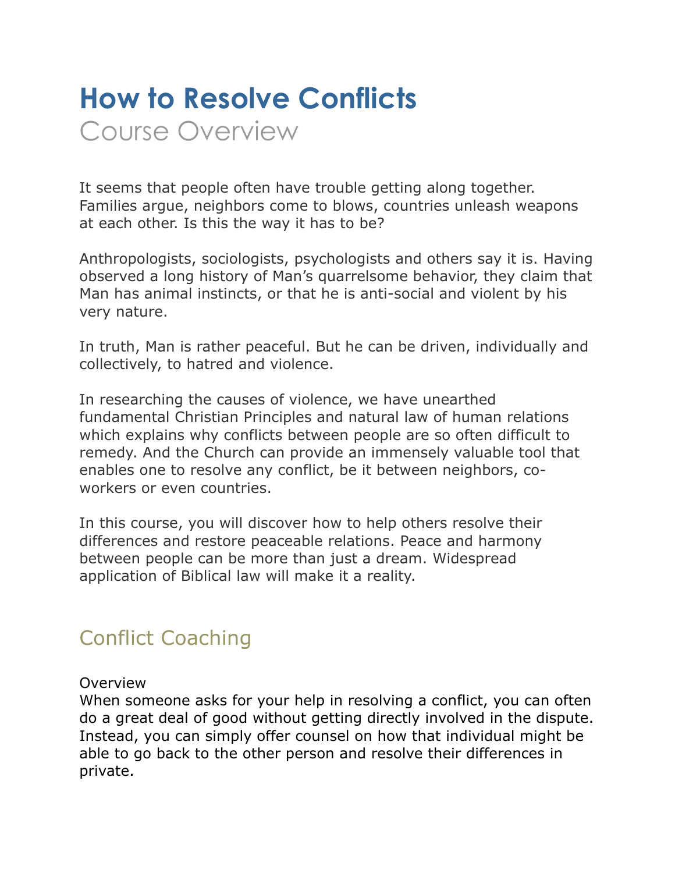# **How to Resolve Conflicts**  Course Overview

It seems that people often have trouble getting along together. Families argue, neighbors come to blows, countries unleash weapons at each other. Is this the way it has to be?

Anthropologists, sociologists, psychologists and others say it is. Having observed a long history of Man's quarrelsome behavior, they claim that Man has animal instincts, or that he is anti-social and violent by his very nature.

In truth, Man is rather peaceful. But he can be driven, individually and collectively, to hatred and violence.

In researching the causes of violence, we have unearthed fundamental Christian Principles and natural law of human relations which explains why conflicts between people are so often difficult to remedy. And the Church can provide an immensely valuable tool that enables one to resolve any conflict, be it between neighbors, coworkers or even countries.

In this course, you will discover how to help others resolve their differences and restore peaceable relations. Peace and harmony between people can be more than just a dream. Widespread application of Biblical law will make it a reality.

## Conflict Coaching

#### Overview

When someone asks for your help in resolving a conflict, you can often do a great deal of good without getting directly involved in the dispute. Instead, you can simply offer counsel on how that individual might be able to go back to the other person and resolve their differences in private.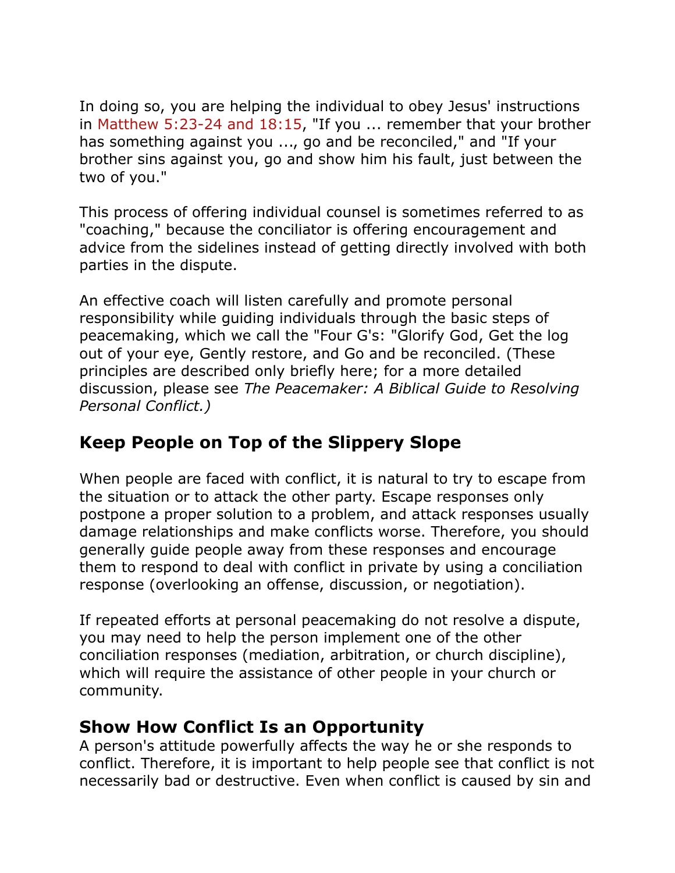In doing so, you are helping the individual to obey Jesus' instructions in Matthew 5:23-24 and 18:15, "If you ... remember that your brother has something against you ..., go and be reconciled," and "If your brother sins against you, go and show him his fault, just between the two of you."

This process of offering individual counsel is sometimes referred to as "coaching," because the conciliator is offering encouragement and advice from the sidelines instead of getting directly involved with both parties in the dispute.

An effective coach will listen carefully and promote personal responsibility while guiding individuals through the basic steps of peacemaking, which we call the "Four G's: "Glorify God, Get the log out of your eye, Gently restore, and Go and be reconciled. (These principles are described only briefly here; for a more detailed discussion, please see *[The Peacemaker: A Biblical Guide to Resolving](http://peacemaker.christianbook.com/Christian/Books/product?item_no=64856)  Personal Conflict[.\)](http://bookstore.peacemaker.net/resources/display.php?psku=100100)*

#### **Keep People on Top of the Slippery Slope**

When people are faced with conflict, it is natural to try to escape from the situation or to attack the other party. Escape responses only postpone a proper solution to a problem, and attack responses usually damage relationships and make conflicts worse. Therefore, you should generally guide people away from these responses and encourage them to respond to deal with conflict in private by using a conciliation response (overlooking an offense, discussion, or negotiation).

If repeated efforts at personal peacemaking do not resolve a dispute, you may need to help the person implement one of the other conciliation responses (mediation, arbitration, or church discipline), which will require the assistance of other people in your church or community.

#### **Show How Conflict Is an Opportunity**

A person's attitude powerfully affects the way he or she responds to conflict. Therefore, it is important to help people see that conflict is not necessarily bad or destructive. Even when conflict is caused by sin and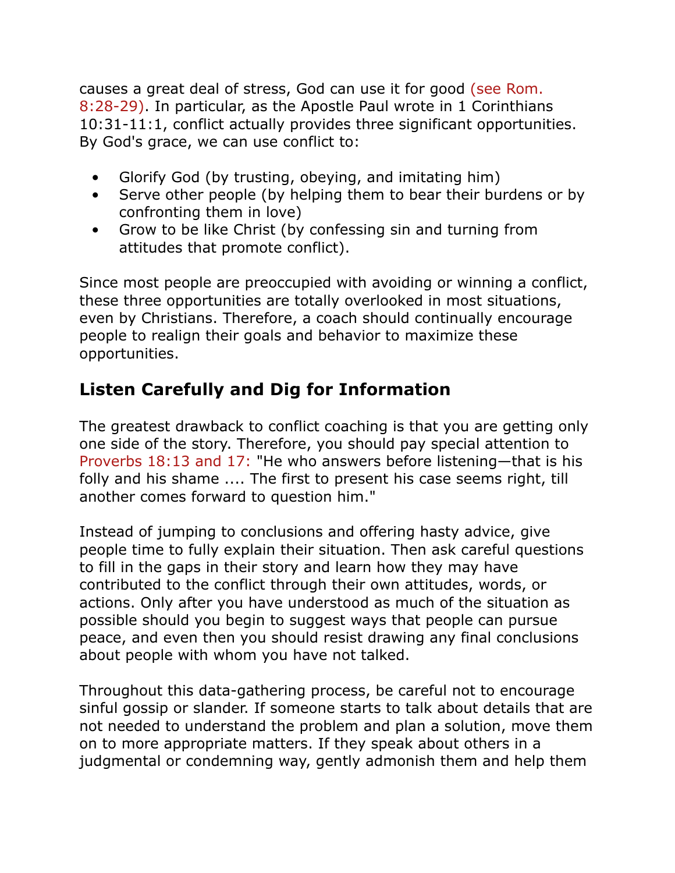causes a great deal of stress, God can use it for good (see Rom. 8:28-29). In particular, as the Apostle Paul wrote in 1 Corinthians 10:31-11:1, conflict actually provides three significant opportunities. By God's grace, we can use conflict to:

- Glorify God (by trusting, obeying, and imitating him)
- Serve other people (by helping them to bear their burdens or by confronting them in love)
- Grow to be like Christ (by confessing sin and turning from attitudes that promote conflict).

Since most people are preoccupied with avoiding or winning a conflict, these three opportunities are totally overlooked in most situations, even by Christians. Therefore, a coach should continually encourage people to realign their goals and behavior to maximize these opportunities.

#### **Listen Carefully and Dig for Information**

The greatest drawback to conflict coaching is that you are getting only one side of the story. Therefore, you should pay special attention to Proverbs 18:13 and 17: "He who answers before listening—that is his folly and his shame .... The first to present his case seems right, till another comes forward to question him."

Instead of jumping to conclusions and offering hasty advice, give people time to fully explain their situation. Then ask careful questions to fill in the gaps in their story and learn how they may have contributed to the conflict through their own attitudes, words, or actions. Only after you have understood as much of the situation as possible should you begin to suggest ways that people can pursue peace, and even then you should resist drawing any final conclusions about people with whom you have not talked.

Throughout this data-gathering process, be careful not to encourage sinful gossip or slander. If someone starts to talk about details that are not needed to understand the problem and plan a solution, move them on to more appropriate matters. If they speak about others in a judgmental or condemning way, gently admonish them and help them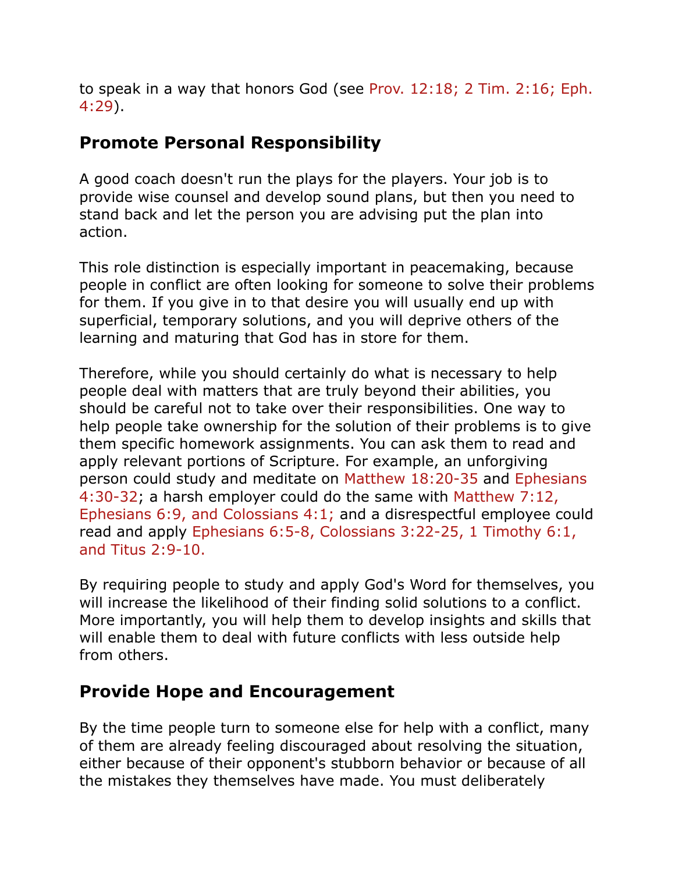to speak in a way that honors God (see Prov. 12:18; 2 Tim. 2:16; Eph. 4:29).

#### **Promote Personal Responsibility**

A good coach doesn't run the plays for the players. Your job is to provide wise counsel and develop sound plans, but then you need to stand back and let the person you are advising put the plan into action.

This role distinction is especially important in peacemaking, because people in conflict are often looking for someone to solve their problems for them. If you give in to that desire you will usually end up with superficial, temporary solutions, and you will deprive others of the learning and maturing that God has in store for them.

Therefore, while you should certainly do what is necessary to help people deal with matters that are truly beyond their abilities, you should be careful not to take over their responsibilities. One way to help people take ownership for the solution of their problems is to give them specific homework assignments. You can ask them to read and apply relevant portions of Scripture. For example, an unforgiving person could study and meditate on Matthew 18:20-35 and Ephesians 4:30-32; a harsh employer could do the same with Matthew 7:12, Ephesians 6:9, and Colossians 4:1; and a disrespectful employee could read and apply Ephesians 6:5-8, Colossians 3:22-25, 1 Timothy 6:1, and Titus 2:9-10.

By requiring people to study and apply God's Word for themselves, you will increase the likelihood of their finding solid solutions to a conflict. More importantly, you will help them to develop insights and skills that will enable them to deal with future conflicts with less outside help from others.

#### **Provide Hope and Encouragement**

By the time people turn to someone else for help with a conflict, many of them are already feeling discouraged about resolving the situation, either because of their opponent's stubborn behavior or because of all the mistakes they themselves have made. You must deliberately